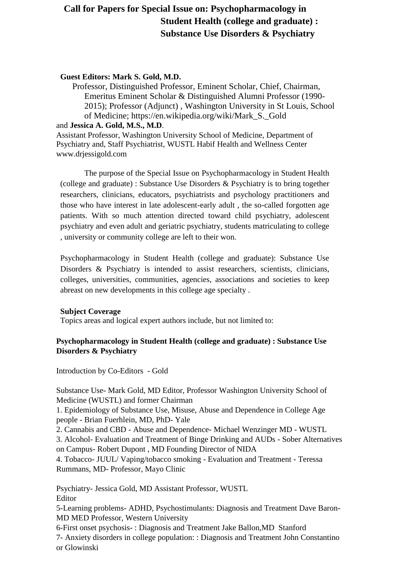# **Call for Papers for Special Issue on: Psychopharmacology in Student Health (college and graduate) : Substance Use Disorders & Psychiatry**

### **Guest Editors: Mark S. Gold, M.D.**

Professor, Distinguished Professor, Eminent Scholar, Chief, Chairman, Emeritus Eminent Scholar & Distinguished Alumni Professor (1990- 2015); Professor (Adjunct) , Washington University in St Louis, School of Medicine; https://en.wikipedia.org/wiki/Mark\_S.\_Gold

#### and **Jessica A. Gold, M.S., M.D**.

Assistant Professor, Washington University School of Medicine, Department of Psychiatry and, Staff Psychiatrist, WUSTL Habif Health and Wellness Center www.drjessigold.com

The purpose of the Special Issue on Psychopharmacology in Student Health (college and graduate) : Substance Use Disorders & Psychiatry is to bring together researchers, clinicians, educators, psychiatrists and psychology practitioners and those who have interest in late adolescent-early adult , the so-called forgotten age patients. With so much attention directed toward child psychiatry, adolescent psychiatry and even adult and geriatric psychiatry, students matriculating to college , university or community college are left to their won.

Psychopharmacology in Student Health (college and graduate): Substance Use Disorders & Psychiatry is intended to assist researchers, scientists, clinicians, colleges, universities, communities, agencies, associations and societies to keep abreast on new developments in this college age specialty .

### **Subject Coverage**

Topics areas and logical expert authors include, but not limited to:

## **Psychopharmacology in Student Health (college and graduate) : Substance Use Disorders & Psychiatry**

Introduction by Co-Editors - Gold

Substance Use- Mark Gold, MD Editor, Professor Washington University School of Medicine (WUSTL) and former Chairman

1. Epidemiology of Substance Use, Misuse, Abuse and Dependence in College Age people - Brian Fuerhlein, MD, PhD- Yale

2. Cannabis and CBD - Abuse and Dependence- Michael Wenzinger MD - WUSTL

3. Alcohol- Evaluation and Treatment of Binge Drinking and AUDs - Sober Alternatives on Campus- Robert Dupont , MD Founding Director of NIDA

4. Tobacco- JUUL/ Vaping/tobacco smoking - Evaluation and Treatment - Teressa Rummans, MD- Professor, Mayo Clinic

Psychiatry- Jessica Gold, MD Assistant Professor, WUSTL Editor

5-Learning problems- ADHD, Psychostimulants: Diagnosis and Treatment Dave Baron-MD MED Professor, Western University

6-First onset psychosis- : Diagnosis and Treatment Jake Ballon,MD Stanford 7- Anxiety disorders in college population: : Diagnosis and Treatment John Constantino or Glowinski